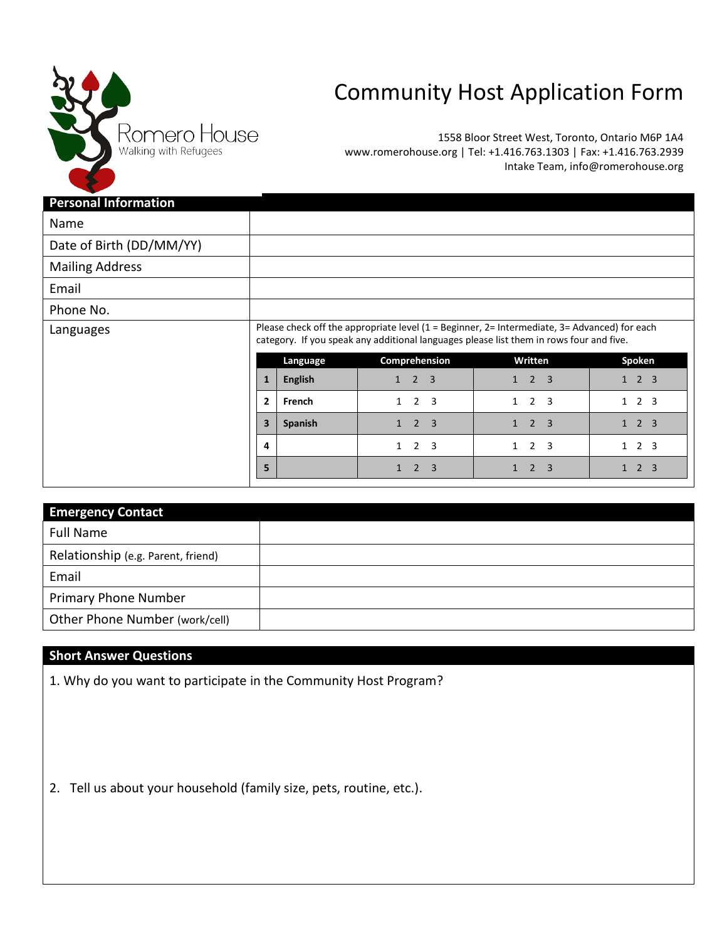

## Community Host Application Form

1558 Bloor Street West, Toronto, Ontario M6P 1A4 www.romerohouse.org | Tel: +1.416.763.1303 | Fax: +1.416.763.2939 Intake Team, info@romerohouse.org

| <b>Personal Information</b> |                                                                                                                                                                                                                     |                |                                                           |                                                |                                |
|-----------------------------|---------------------------------------------------------------------------------------------------------------------------------------------------------------------------------------------------------------------|----------------|-----------------------------------------------------------|------------------------------------------------|--------------------------------|
| Name                        |                                                                                                                                                                                                                     |                |                                                           |                                                |                                |
| Date of Birth (DD/MM/YY)    |                                                                                                                                                                                                                     |                |                                                           |                                                |                                |
| <b>Mailing Address</b>      |                                                                                                                                                                                                                     |                |                                                           |                                                |                                |
| Email                       |                                                                                                                                                                                                                     |                |                                                           |                                                |                                |
| Phone No.                   |                                                                                                                                                                                                                     |                |                                                           |                                                |                                |
| Languages                   | Please check off the appropriate level $(1 = \text{Beginner}, 2 = \text{Internet})$ and $(3 = \text{Advanced})$ for each<br>category. If you speak any additional languages please list them in rows four and five. |                |                                                           |                                                |                                |
|                             |                                                                                                                                                                                                                     | Language       | Comprehension                                             | Written                                        | Spoken                         |
|                             | $\mathbf{1}$                                                                                                                                                                                                        | <b>English</b> | $2 \quad 3$<br>$\mathbf{1}$                               | $2 \quad 3$<br>1                               | $1 \quad 2 \quad 3$            |
|                             | $\overline{2}$                                                                                                                                                                                                      | French         | 2 <sup>3</sup><br>$\mathbf{1}$                            | 2 <sup>3</sup><br>$\mathbf{1}$                 | $1\quad 2\quad 3$              |
|                             | $\overline{\mathbf{3}}$                                                                                                                                                                                             | Spanish        | 2 <sup>3</sup><br>$\mathbf{1}$                            | 2<br>3<br>$\mathbf{1}$                         | $1 \quad 2 \quad 3$            |
|                             | 4                                                                                                                                                                                                                   |                | $\overline{2}$<br>$\overline{\mathbf{3}}$<br>$\mathbf{1}$ | $\overline{2}$<br>$\overline{\mathbf{3}}$<br>1 | 2 <sub>3</sub><br>$\mathbf{1}$ |
|                             | 5                                                                                                                                                                                                                   |                | $2 \quad 3$<br>$\mathbf{1}$                               | $\overline{2}$<br>3<br>1                       | 2 <sub>3</sub><br>$\mathbf{1}$ |

| <b>Emergency Contact</b>           |  |
|------------------------------------|--|
| <b>Full Name</b>                   |  |
| Relationship (e.g. Parent, friend) |  |
| Email                              |  |
| <b>Primary Phone Number</b>        |  |
| Other Phone Number (work/cell)     |  |

## **Short Answer Questions**

1. Why do you want to participate in the Community Host Program?

2. Tell us about your household (family size, pets, routine, etc.).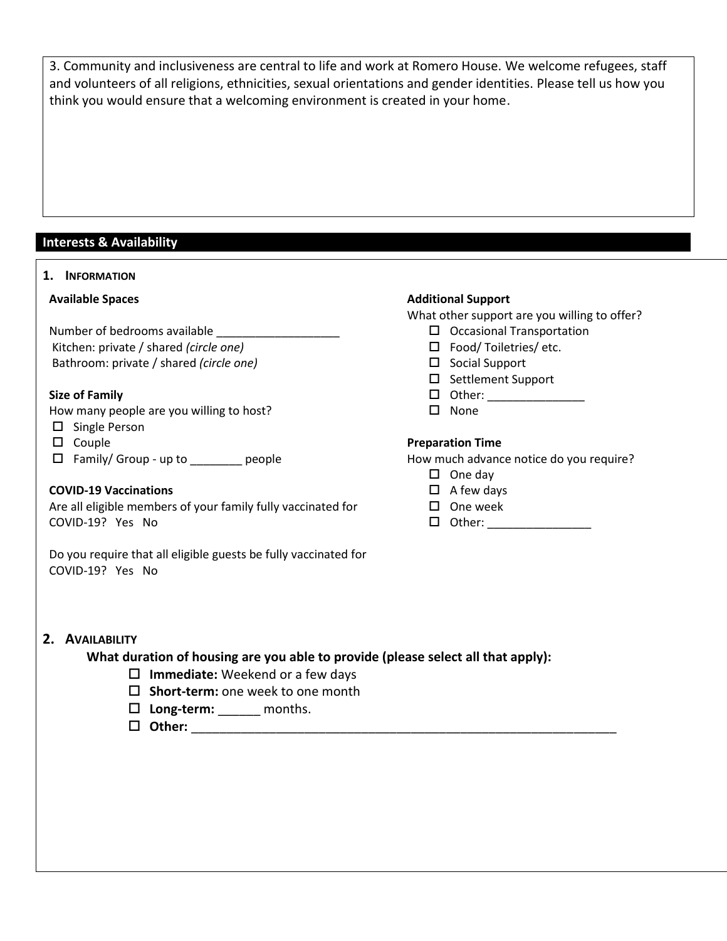3. Community and inclusiveness are central to life and work at Romero House. We welcome refugees, staff and volunteers of all religions, ethnicities, sexual orientations and gender identities. Please tell us how you think you would ensure that a welcoming environment is created in your home.

## **Interests & Availability**

| 1. INFORMATION                                                                                      |                                              |  |  |
|-----------------------------------------------------------------------------------------------------|----------------------------------------------|--|--|
| <b>Available Spaces</b>                                                                             | <b>Additional Support</b>                    |  |  |
|                                                                                                     | What other support are you willing to offer? |  |  |
| Number of bedrooms available ______________                                                         | $\Box$ Occasional Transportation             |  |  |
| Kitchen: private / shared (circle one)                                                              | □ Food/Toiletries/ etc.                      |  |  |
| Bathroom: private / shared (circle one)                                                             | $\square$ Social Support                     |  |  |
|                                                                                                     | □ Settlement Support                         |  |  |
| <b>Size of Family</b>                                                                               |                                              |  |  |
| How many people are you willing to host?                                                            | $\square$ None                               |  |  |
| $\square$ Single Person                                                                             |                                              |  |  |
| $\square$ Couple                                                                                    | <b>Preparation Time</b>                      |  |  |
| □ Family/ Group - up to ________ people                                                             | How much advance notice do you require?      |  |  |
|                                                                                                     | $\Box$ One day                               |  |  |
| <b>COVID-19 Vaccinations</b>                                                                        | $\Box$ A few days                            |  |  |
| Are all eligible members of your family fully vaccinated for                                        | $\square$ One week                           |  |  |
| COVID-19? Yes No                                                                                    | 口 Other: ___________________                 |  |  |
|                                                                                                     |                                              |  |  |
| 2. AVAILABILITY<br>What duration of housing are you able to provide (please select all that apply): |                                              |  |  |
| $\square$ Immediate: Weekend or a few days                                                          |                                              |  |  |
| $\square$ Short-term: one week to one month                                                         |                                              |  |  |
|                                                                                                     |                                              |  |  |
| $\square$ Long-term: ______ months.                                                                 |                                              |  |  |
|                                                                                                     |                                              |  |  |
|                                                                                                     |                                              |  |  |
|                                                                                                     |                                              |  |  |
|                                                                                                     |                                              |  |  |
|                                                                                                     |                                              |  |  |
|                                                                                                     |                                              |  |  |
|                                                                                                     |                                              |  |  |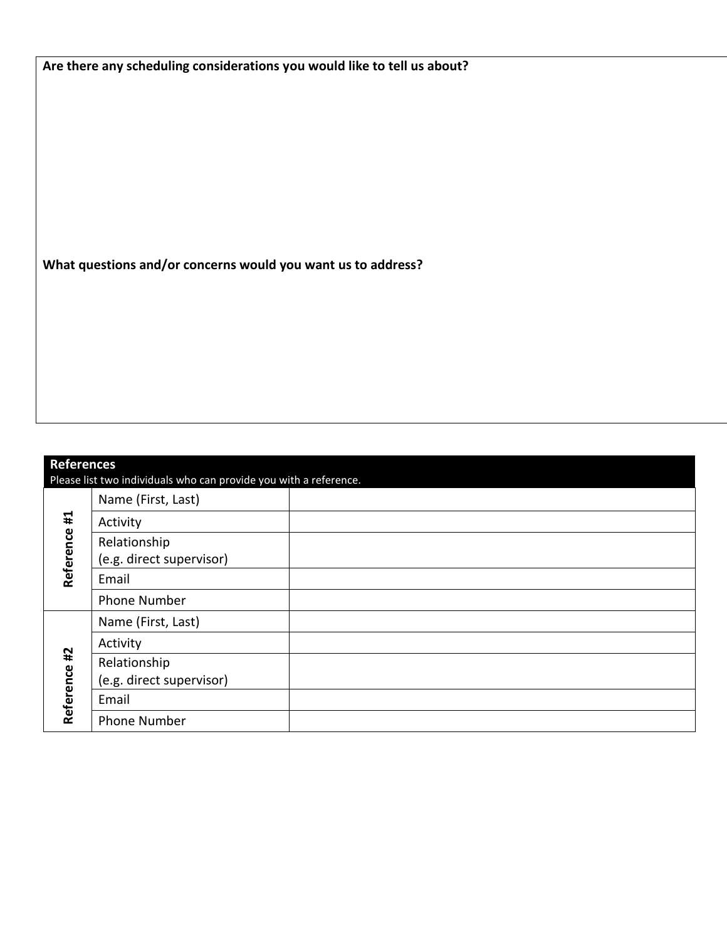|  |  | Are there any scheduling considerations you would like to tell us about? |
|--|--|--------------------------------------------------------------------------|
|--|--|--------------------------------------------------------------------------|

**What questions and/or concerns would you want us to address?** 

| <b>References</b>                                                 |                          |  |  |
|-------------------------------------------------------------------|--------------------------|--|--|
| Please list two individuals who can provide you with a reference. |                          |  |  |
| #1<br>Reference                                                   | Name (First, Last)       |  |  |
|                                                                   | Activity                 |  |  |
|                                                                   | Relationship             |  |  |
|                                                                   | (e.g. direct supervisor) |  |  |
|                                                                   | Email                    |  |  |
|                                                                   | <b>Phone Number</b>      |  |  |
| #2<br>Reference                                                   | Name (First, Last)       |  |  |
|                                                                   | Activity                 |  |  |
|                                                                   | Relationship             |  |  |
|                                                                   | (e.g. direct supervisor) |  |  |
|                                                                   | Email                    |  |  |
|                                                                   | <b>Phone Number</b>      |  |  |